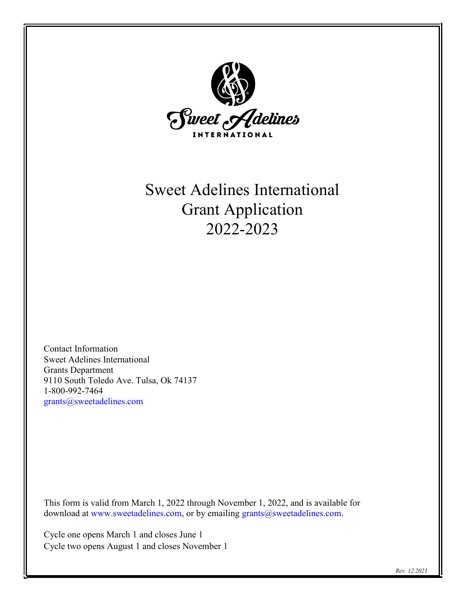

# Sweet Adelines International Grant Application 2022-2023

Contact Information Sweet Adelines International Grants Department 9110 South Toledo Ave. Tulsa, Ok 74137 1-800-992-7464 [grants@sweetadelines.com](mailto:grants@sweetadelines.com)

This form is valid from March 1, 2022 through November 1, 2022, and is available for download at [www.sweetadelines.com,](http://www.sweetadelines.com/) or by emailing [grants@sweetadelines.com.](mailto:grants@sweetadelines.com)

Cycle one opens March 1 and closes June 1 Cycle two opens August 1 and closes November 1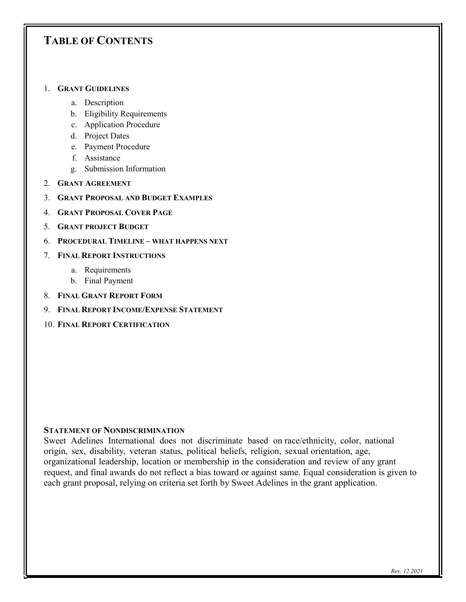# **TABLE OF CONTENTS**

#### 1. **GRANT GUIDELINES**

- a. Description
- b. Eligibility Requirements
- c. Application Procedure
- d. Project Dates
- e. Payment Procedure
- f. Assistance
- g. Submission Information
- 2. **GRANT AGREEMENT**
- 3. **GRANT PROPOSAL AND BUDGET EXAMPLES**
- 4. **GRANT PROPOSAL COVER PAGE**
- 5. **GRANT PROJECT BUDGET**
- 6. **PROCEDURAL TIMELINE – WHAT HAPPENS NEXT**
- 7. **FINAL REPORT INSTRUCTIONS**
	- a. Requirements
	- b. Final Payment
- 8. **FINAL GRANT REPORT FORM**
- 9. **FINAL REPORT INCOME/EXPENSE STATEMENT**
- 10. **FINAL REPORT CERTIFICATION**

#### **STATEMENT OF NONDISCRIMINATION**

Sweet Adelines International does not discriminate based on race/ethnicity, color, national origin, sex, disability, veteran status, political beliefs, religion, sexual orientation, age, organizational leadership, location or membership in the consideration and review of any grant request, and final awards do not reflect a bias toward or against same. Equal consideration is given to each grant proposal, relying on criteria set forth by Sweet Adelines in the grant application.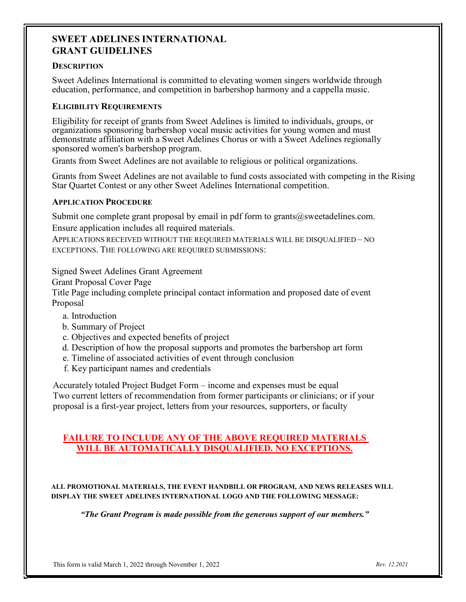### **SWEET ADELINES INTERNATIONAL GRANT GUIDELINES**

#### **DESCRIPTION**

Sweet Adelines International is committed to elevating women singers worldwide through education, performance, and competition in barbershop harmony and a cappella music.

### **ELIGIBILITY REQUIREMENTS**

Eligibility for receipt of grants from Sweet Adelines is limited to individuals, groups, or organizations sponsoring barbershop vocal music activities for young women and must demonstrate affiliation with a Sweet Adelines Chorus or with a Sweet Adelines regionally sponsored women's barbershop program.

Grants from Sweet Adelines are not available to religious or political organizations.

Grants from Sweet Adelines are not available to fund costs associated with competing in the Rising Star Quartet Contest or any other Sweet Adelines International competition.

### **APPLICATION PROCEDURE**

Submit one complete grant proposal by email in pdf form to grants $@s$ weetadelines.com. Ensure application includes all required materials.

APPLICATIONS RECEIVED WITHOUT THE REQUIRED MATERIALS WILL BE DISQUALIFIED – NO EXCEPTIONS. THE FOLLOWING ARE REQUIRED SUBMISSIONS:

Signed Sweet Adelines Grant Agreement

Grant Proposal Cover Page

Title Page including complete principal contact information and proposed date of event Proposal

- a. Introduction
- b. Summary of Project
- c. Objectives and expected benefits of project
- d. Description of how the proposal supports and promotes the barbershop art form
- e. Timeline of associated activities of event through conclusion
- f. Key participant names and credentials

Accurately totaled Project Budget Form – income and expenses must be equal Two current letters of recommendation from former participants or clinicians; or if your proposal is a first-year project, letters from your resources, supporters, or faculty

### **FAILURE TO INCLUDE ANY OF THE ABOVE REQUIRED MATERIALS WILL BE AUTOMATICALLY DISQUALIFIED. NO EXCEPTIONS.**

**ALL PROMOTIONAL MATERIALS, THE EVENT HANDBILL OR PROGRAM, AND NEWS RELEASES WILL DISPLAY THE SWEET ADELINES INTERNATIONAL LOGO AND THE FOLLOWING MESSAGE:**

 *"The Grant Program is made possible from the generous support of our members."*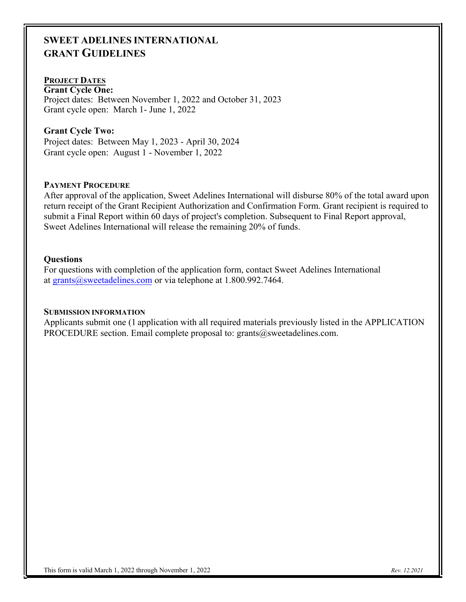# **SWEET ADELINES INTERNATIONAL GRANT GUIDELINES**

### **PROJECT DATES**

**Grant Cycle One:** Project dates: Between November 1, 2022 and October 31, 2023 Grant cycle open: March 1- June 1, 2022

### **Grant Cycle Two:**

Project dates: Between May 1, 2023 - April 30, 2024 Grant cycle open: August 1 - November 1, 2022

### **PAYMENT PROCEDURE**

After approval of the application, Sweet Adelines International will disburse 80% of the total award upon return receipt of the Grant Recipient Authorization and Confirmation Form. Grant recipient is required to submit a Final Report within 60 days of project's completion. Subsequent to Final Report approval, Sweet Adelines International will release the remaining 20% of funds.

#### **Questions**

For questions with completion of the application form, contact Sweet Adelines International a[t grants@sweetadelines.com](mailto:grants@sweetadelines.com) or via telephone at 1.800.992.7464.

### **SUBMISSION INFORMATION**

Applicants submit one (1 application with all required materials previously listed in the APPLICATION PROCEDURE section. Email complete proposal to: grants $@s$ weetadelines.com.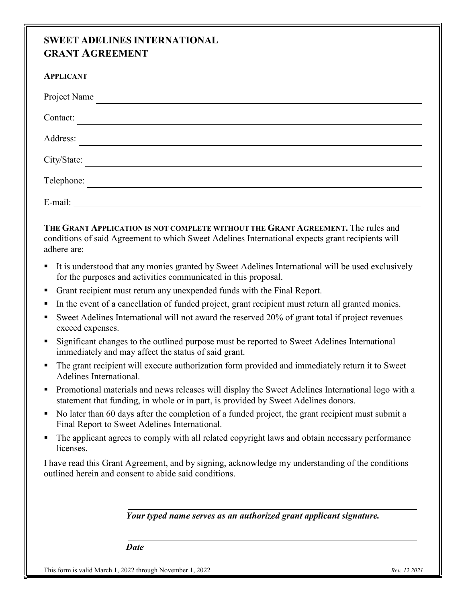# **SWEET ADELINES INTERNATIONAL GRANT AGREEMENT**

| <b>APPLICANT</b> |
|------------------|
| Project Name     |
| Contact:         |
| Address:         |
| City/State:      |
| Telephone:       |
| E-mail:          |

**THE GRANT APPLICATION IS NOT COMPLETE WITHOUT THE GRANT AGREEMENT.** The rules and conditions of said Agreement to which Sweet Adelines International expects grant recipients will adhere are:

- It is understood that any monies granted by Sweet Adelines International will be used exclusively for the purposes and activities communicated in this proposal.
- Grant recipient must return any unexpended funds with the Final Report.
- In the event of a cancellation of funded project, grant recipient must return all granted monies.
- Sweet Adelines International will not award the reserved 20% of grant total if project revenues exceed expenses.
- Significant changes to the outlined purpose must be reported to Sweet Adelines International immediately and may affect the status of said grant.
- The grant recipient will execute authorization form provided and immediately return it to Sweet Adelines International.
- **Promotional materials and news releases will display the Sweet Adelines International logo with a** statement that funding, in whole or in part, is provided by Sweet Adelines donors.
- No later than 60 days after the completion of a funded project, the grant recipient must submit a Final Report to Sweet Adelines International.
- The applicant agrees to comply with all related copyright laws and obtain necessary performance licenses.

I have read this Grant Agreement, and by signing, acknowledge my understanding of the conditions outlined herein and consent to abide said conditions.

*Your typed name serves as an authorized grant applicant signature.* 

*Date*

This form is valid March 1, 2022 through November 1, 2022 *Rev. 12.2021*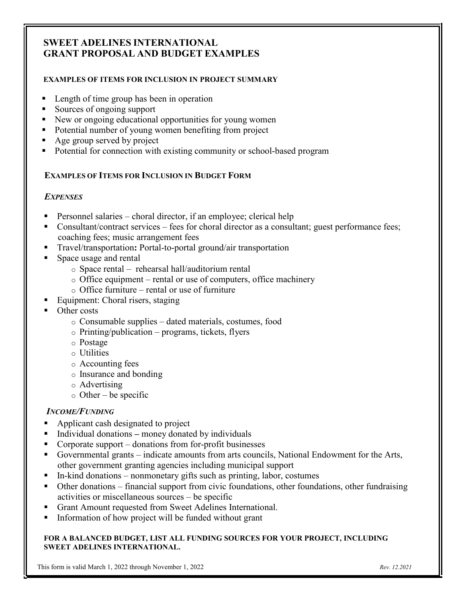# **SWEET ADELINES INTERNATIONAL GRANT PROPOSAL AND BUDGET EXAMPLES**

### **EXAMPLES OF ITEMS FOR INCLUSION IN PROJECT SUMMARY**

- Length of time group has been in operation
- Sources of ongoing support
- New or ongoing educational opportunities for young women
- Potential number of young women benefiting from project
- Age group served by project
- Potential for connection with existing community or school-based program

### **EXAMPLES OF ITEMS FOR INCLUSION IN BUDGET FORM**

### *EXPENSES*

- **Personnel salaries** choral director, if an employee; clerical help
- Consultant/contract services fees for choral director as a consultant; guest performance fees; coaching fees; music arrangement fees
- Travel/transportation: Portal-to-portal ground/air transportation
- **Space usage and rental** 
	- o Space rental rehearsal hall/auditorium rental
	- o Office equipment rental or use of computers, office machinery
	- o Office furniture rental or use of furniture
- Equipment: Choral risers, staging
- **Other costs** 
	- o Consumable supplies dated materials, costumes, food
	- $\circ$  Printing/publication programs, tickets, flyers
	- o Postage
	- o Utilities
	- o Accounting fees
	- o Insurance and bonding
	- o Advertising
	- $\circ$  Other be specific

#### *INCOME/FUNDING*

- Applicant cash designated to project
- Individual donations money donated by individuals
- $\blacksquare$  Corporate support donations from for-profit businesses
- Governmental grants indicate amounts from arts councils, National Endowment for the Arts, other government granting agencies including municipal support
- $\blacksquare$  In-kind donations nonmonetary gifts such as printing, labor, costumes
- Other donations financial support from civic foundations, other foundations, other fundraising activities or miscellaneous sources – be specific
- Grant Amount requested from Sweet Adelines International.
- Information of how project will be funded without grant

#### **FOR A BALANCED BUDGET, LIST ALL FUNDING SOURCES FOR YOUR PROJECT, INCLUDING SWEET ADELINES INTERNATIONAL.**

This form is valid March 1, 2022 through November 1, 2022 *Rev. 12.2021*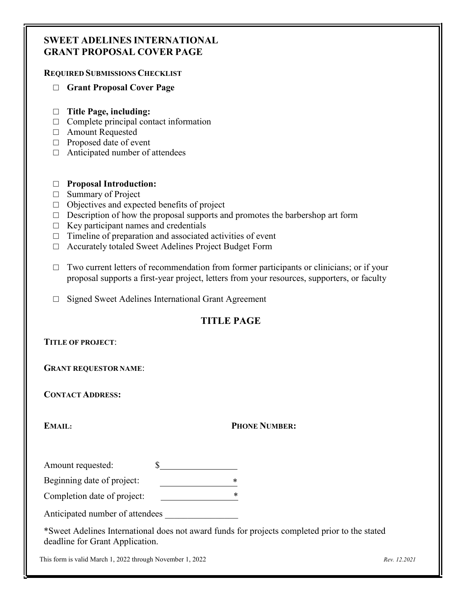### **SWEET ADELINES INTERNATIONAL GRANT PROPOSAL COVER PAGE**

### **REQUIRED SUBMISSIONS CHECKLIST**

- □ **Grant Proposal Cover Page**
- □ **Title Page, including:**
- $\Box$  Complete principal contact information
- □ Amount Requested
- □ Proposed date of event
- $\Box$  Anticipated number of attendees

### □ **Proposal Introduction:**

- □ Summary of Project
- $\Box$  Objectives and expected benefits of project
- $\Box$  Description of how the proposal supports and promotes the barbershop art form
- $\Box$  Key participant names and credentials
- $\Box$  Timeline of preparation and associated activities of event
- □ Accurately totaled Sweet Adelines Project Budget Form
- □ Two current letters of recommendation from former participants or clinicians; or if your proposal supports a first-year project, letters from your resources, supporters, or faculty
- □ Signed Sweet Adelines International Grant Agreement

### **TITLE PAGE**

### **TITLE OF PROJECT**:

**GRANT REQUESTOR NAME**:

**CONTACT ADDRESS:**

### **EMAIL: PHONE NUMBER:**

Amount requested:  $\$\$ 

Beginning date of project:

Completion date of project: \*

Anticipated number of attendees

\*Sweet Adelines International does not award funds for projects completed prior to the stated deadline for Grant Application.

This form is valid March 1, 2022 through November 1, 2022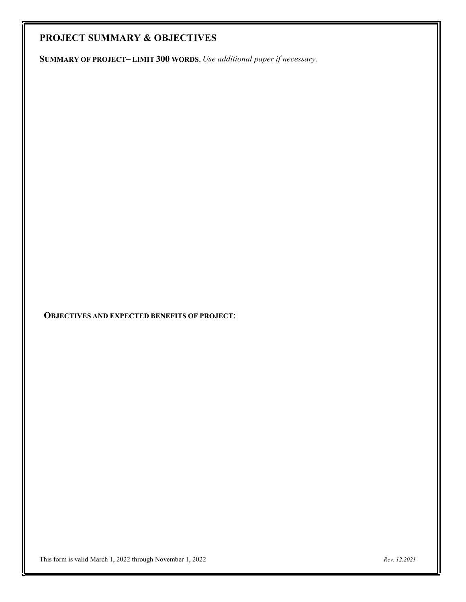# **PROJECT SUMMARY & OBJECTIVES**

**SUMMARY OF PROJECT– LIMIT 300 WORDS**. *Use additional paper if necessary.*

**OBJECTIVES AND EXPECTED BENEFITS OF PROJECT**: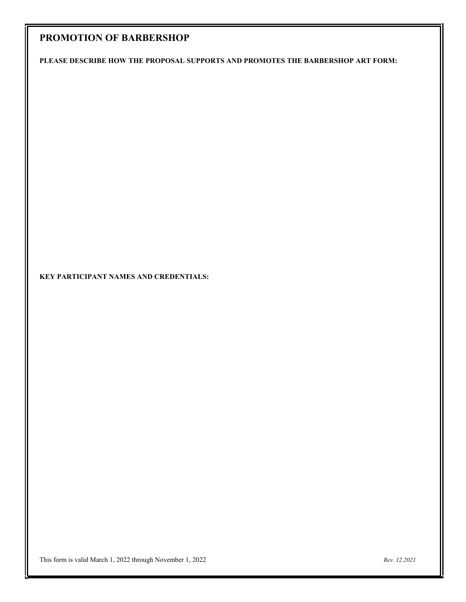# **PROMOTION OF BARBERSHOP**

**PLEASE DESCRIBE HOW THE PROPOSAL SUPPORTS AND PROMOTES THE BARBERSHOP ART FORM:**

### **KEY PARTICIPANT NAMES AND CREDENTIALS:**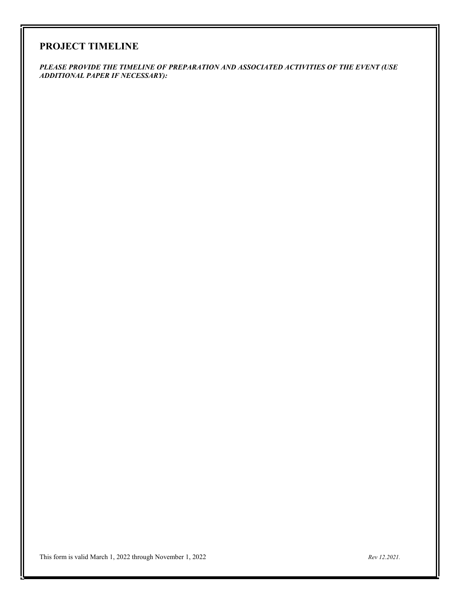### **PROJECT TIMELINE**

*PLEASE PROVIDE THE TIMELINE OF PREPARATION AND ASSOCIATED ACTIVITIES OF THE EVENT (USE ADDITIONAL PAPER IF NECESSARY):*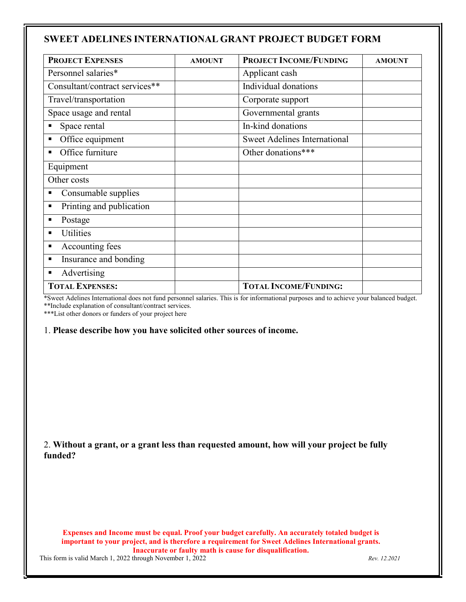### **SWEET ADELINES INTERNATIONAL GRANT PROJECT BUDGET FORM**

| <b>PROJECT EXPENSES</b>        | <b>AMOUNT</b> | <b>PROJECT INCOME/FUNDING</b>       | <b>AMOUNT</b> |
|--------------------------------|---------------|-------------------------------------|---------------|
| Personnel salaries*            |               | Applicant cash                      |               |
| Consultant/contract services** |               | Individual donations                |               |
| Travel/transportation          |               | Corporate support                   |               |
| Space usage and rental         |               | Governmental grants                 |               |
| Space rental                   |               | In-kind donations                   |               |
| Office equipment               |               | <b>Sweet Adelines International</b> |               |
| Office furniture               |               | Other donations***                  |               |
| Equipment                      |               |                                     |               |
| Other costs                    |               |                                     |               |
| Consumable supplies            |               |                                     |               |
| Printing and publication<br>П  |               |                                     |               |
| Postage                        |               |                                     |               |
| Utilities<br>п                 |               |                                     |               |
| Accounting fees<br>п           |               |                                     |               |
| Insurance and bonding<br>п     |               |                                     |               |
| Advertising                    |               |                                     |               |
| <b>TOTAL EXPENSES:</b>         |               | <b>TOTAL INCOME/FUNDING:</b>        |               |

\*Sweet Adelines International does not fund personnel salaries. This is for informational purposes and to achieve your balanced budget. \*\*Include explanation of consultant/contract services.

\*\*\*List other donors or funders of your project here

#### 1. **Please describe how you have solicited other sources of income.**

2. **Without a grant, or a grant less than requested amount, how will your project be fully funded?**

**Expenses and Income must be equal. Proof your budget carefully. An accurately totaled budget is important to your project, and is therefore a requirement for Sweet Adelines International grants. Inaccurate or faulty math is cause for disqualification.**

This form is valid March 1, 2022 through November 1, 2022 *Rev. 12.2021*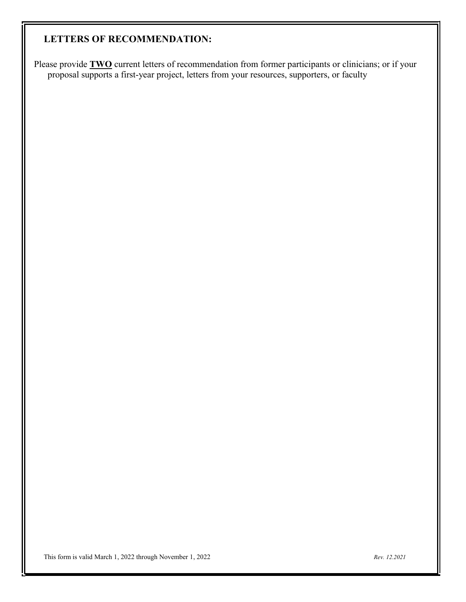# **LETTERS OF RECOMMENDATION:**

Please provide **TWO** current letters of recommendation from former participants or clinicians; or if your proposal supports a first-year project, letters from your resources, supporters, or faculty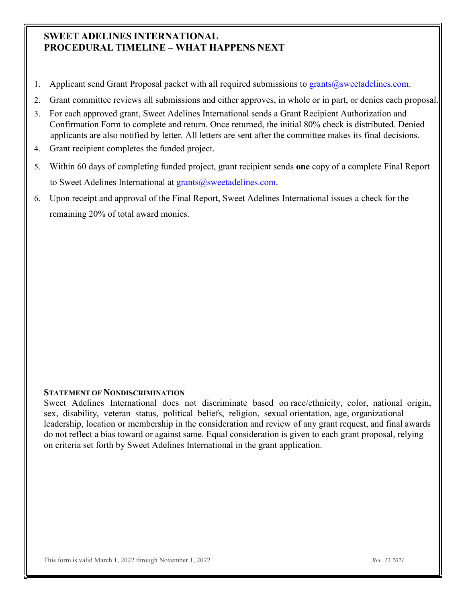### **SWEET ADELINES INTERNATIONAL PROCEDURAL TIMELINE – WHAT HAPPENS NEXT**

- 1. Applicant send Grant Proposal packet with all required submissions to [grants@sweetadelines.com.](mailto:grants@sweetadelines.com)
- 2. Grant committee reviews all submissions and either approves, in whole or in part, or denies each proposal.
- 3. For each approved grant, Sweet Adelines International sends a Grant Recipient Authorization and Confirmation Form to complete and return. Once returned, the initial 80% check is distributed. Denied applicants are also notified by letter. All letters are sent after the committee makes its final decisions.
- 4. Grant recipient completes the funded project.
- 5. Within 60 days of completing funded project, grant recipient sends **one** copy of a complete Final Report to Sweet Adelines International at  $grants@sweetadelines.com$ .
- 6. Upon receipt and approval of the Final Report, Sweet Adelines International issues a check for the remaining 20% of total award monies.

### **STATEMENT OF NONDISCRIMINATION**

Sweet Adelines International does not discriminate based on race/ethnicity, color, national origin, sex, disability, veteran status, political beliefs, religion, sexual orientation, age, organizational leadership, location or membership in the consideration and review of any grant request, and final awards do not reflect a bias toward or against same. Equal consideration is given to each grant proposal, relying on criteria set forth by Sweet Adelines International in the grant application.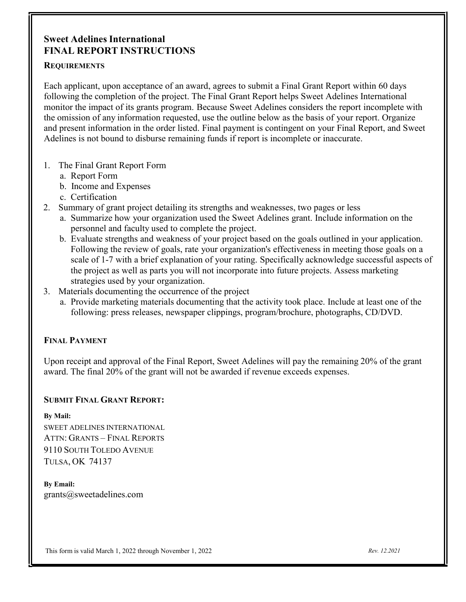### **Sweet Adelines International FINAL REPORT INSTRUCTIONS**

### **REQUIREMENTS**

Each applicant, upon acceptance of an award, agrees to submit a Final Grant Report within 60 days following the completion of the project. The Final Grant Report helps Sweet Adelines International monitor the impact of its grants program. Because Sweet Adelines considers the report incomplete with the omission of any information requested, use the outline below as the basis of your report. Organize and present information in the order listed. Final payment is contingent on your Final Report, and Sweet Adelines is not bound to disburse remaining funds if report is incomplete or inaccurate.

### 1. The Final Grant Report Form

- a. Report Form
- b. Income and Expenses
- c. Certification
- 2. Summary of grant project detailing its strengths and weaknesses, two pages or less
	- a. Summarize how your organization used the Sweet Adelines grant. Include information on the personnel and faculty used to complete the project.
	- b. Evaluate strengths and weakness of your project based on the goals outlined in your application. Following the review of goals, rate your organization's effectiveness in meeting those goals on a scale of 1-7 with a brief explanation of your rating. Specifically acknowledge successful aspects of the project as well as parts you will not incorporate into future projects. Assess marketing strategies used by your organization.
- 3. Materials documenting the occurrence of the project
	- a. Provide marketing materials documenting that the activity took place. Include at least one of the following: press releases, newspaper clippings, program/brochure, photographs, CD/DVD.

### **FINAL PAYMENT**

Upon receipt and approval of the Final Report, Sweet Adelines will pay the remaining 20% of the grant award. The final 20% of the grant will not be awarded if revenue exceeds expenses.

### **SUBMIT FINAL GRANT REPORT:**

#### **By Mail:**

SWEET ADELINES INTERNATIONAL ATTN: GRANTS – FINAL REPORTS 9110 SOUTH TOLEDO AVENUE TULSA, OK 74137

**By Email:** [grants@sweetadelines.com](mailto:grants@sweetadelines.com)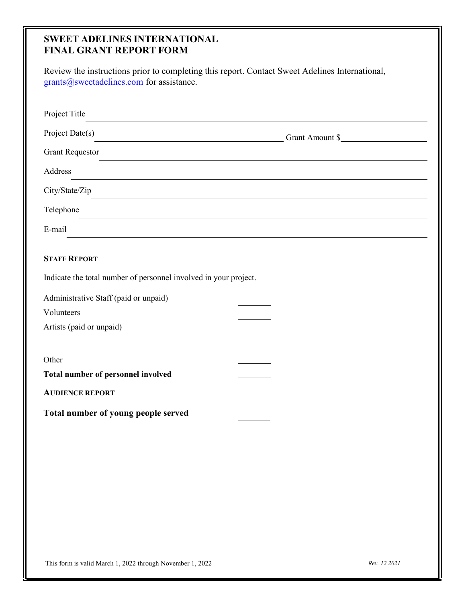### **SWEET ADELINES INTERNATIONAL FINAL GRANT REPORT FORM**

| Review the instructions prior to completing this report. Contact Sweet Adelines International,<br>grants@sweetadelines.com for assistance. |                                                                                                                      |
|--------------------------------------------------------------------------------------------------------------------------------------------|----------------------------------------------------------------------------------------------------------------------|
|                                                                                                                                            |                                                                                                                      |
|                                                                                                                                            |                                                                                                                      |
| Project Title                                                                                                                              | <u> 1989 - Johann Stoff, amerikansk politiker (d. 1989)</u>                                                          |
| Project Date(s) Grant Amount \$                                                                                                            |                                                                                                                      |
| <b>Grant Requestor</b>                                                                                                                     |                                                                                                                      |
| Address                                                                                                                                    | <u> 1989 - Andrea Santa Alemania, amerikana amerikana amerikana amerikana amerikana amerikana amerikana amerikan</u> |
|                                                                                                                                            |                                                                                                                      |
| Telephone                                                                                                                                  | ,我们也不会有什么。""我们的人,我们也不会有什么?""我们的人,我们也不会有什么?""我们的人,我们也不会有什么?""我们的人,我们也不会有什么?""我们的人                                     |
| E-mail                                                                                                                                     | ,我们也不会有什么。""我们的人,我们也不会有什么?""我们的人,我们也不会有什么?""我们的人,我们也不会有什么?""我们的人,我们也不会有什么?""我们的人                                     |
| <b>STAFF REPORT</b>                                                                                                                        |                                                                                                                      |
| Indicate the total number of personnel involved in your project.                                                                           |                                                                                                                      |
|                                                                                                                                            |                                                                                                                      |
| Administrative Staff (paid or unpaid)<br>Volunteers                                                                                        |                                                                                                                      |
| Artists (paid or unpaid)                                                                                                                   |                                                                                                                      |
|                                                                                                                                            |                                                                                                                      |
| Other                                                                                                                                      |                                                                                                                      |
| Total number of personnel involved                                                                                                         |                                                                                                                      |
| <b>AUDIENCE REPORT</b>                                                                                                                     |                                                                                                                      |
| Total number of young people served                                                                                                        |                                                                                                                      |
|                                                                                                                                            |                                                                                                                      |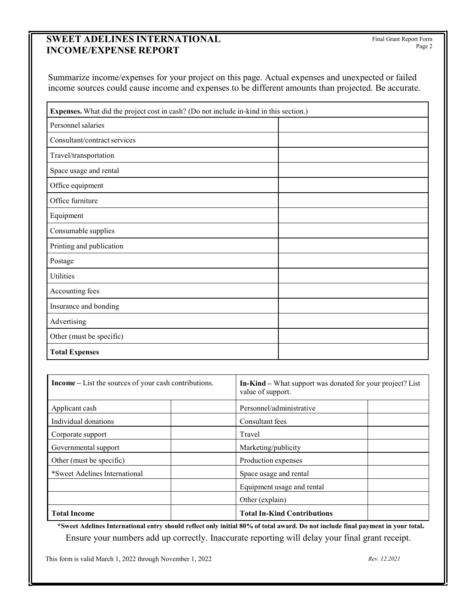# **SWEET ADELINES INTERNATIONAL INCOME/EXPENSE REPORT**

Summarize income/expenses for your project on this page. Actual expenses and unexpected or failed income sources could cause income and expenses to be different amounts than projected. Be accurate.

| Expenses. What did the project cost in cash? (Do not include in-kind in this section.) |  |  |
|----------------------------------------------------------------------------------------|--|--|
| Personnel salaries                                                                     |  |  |
| Consultant/contract services                                                           |  |  |
| Travel/transportation                                                                  |  |  |
| Space usage and rental                                                                 |  |  |
| Office equipment                                                                       |  |  |
| Office furniture                                                                       |  |  |
| Equipment                                                                              |  |  |
| Consumable supplies                                                                    |  |  |
| Printing and publication                                                               |  |  |
| Postage                                                                                |  |  |
| Utilities                                                                              |  |  |
| Accounting fees                                                                        |  |  |
| Insurance and bonding                                                                  |  |  |
| Advertising                                                                            |  |  |
| Other (must be specific)                                                               |  |  |
| <b>Total Expenses</b>                                                                  |  |  |

| <b>Income</b> – List the sources of your cash contributions. | <b>In-Kind</b> – What support was donated for your project? List<br>value of support. |  |
|--------------------------------------------------------------|---------------------------------------------------------------------------------------|--|
| Applicant cash                                               | Personnel/administrative                                                              |  |
| Individual donations                                         | Consultant fees                                                                       |  |
| Corporate support                                            | Travel                                                                                |  |
| Governmental support                                         | Marketing/publicity                                                                   |  |
| Other (must be specific)                                     | Production expenses                                                                   |  |
| *Sweet Adelines International                                | Space usage and rental                                                                |  |
|                                                              | Equipment usage and rental                                                            |  |
|                                                              | Other (explain)                                                                       |  |
| <b>Total Income</b>                                          | <b>Total In-Kind Contributions</b>                                                    |  |

\*Sweet Adelines International entry should reflect only initial 80% of total award. Do not include final payment in your total. Ensure your numbers add up correctly. Inaccurate reporting will delay your final grant receipt.